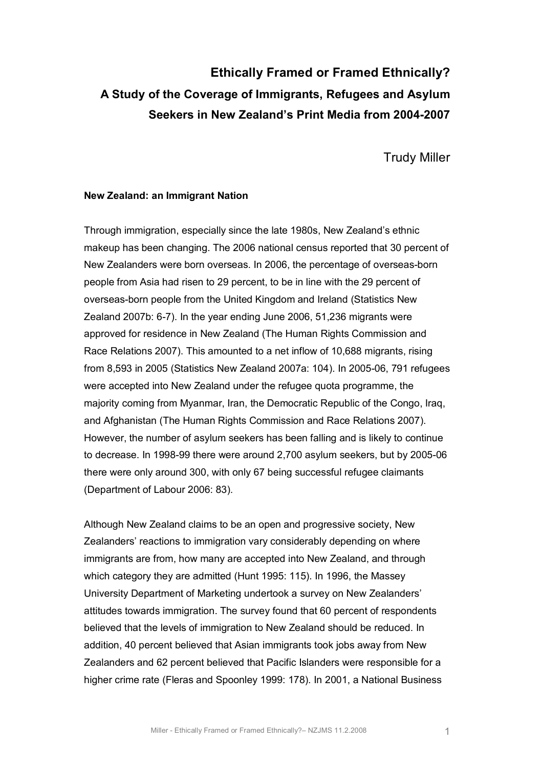# **Ethically Framed or Framed Ethnically? A Study of the Coverage of Immigrants, Refugees and Asylum**  Seekers in New Zealand's Print Media from 2004-2007

Trudy Miller

# **New Zealand: an Immigrant Nation**

Through immigration, especially since the late 1980s, New Zealand's ethnic makeup has been changing. The 2006 national census reported that 30 percent of New Zealanders were born overseas. In 2006, the percentage of overseas-born people from Asia had risen to 29 percent, to be in line with the 29 percent of overseas-born people from the United Kingdom and Ireland (Statistics New Zealand 2007b: 6-7). In the year ending June 2006, 51,236 migrants were approved for residence in New Zealand (The Human Rights Commission and Race Relations 2007). This amounted to a net inflow of 10,688 migrants, rising from 8,593 in 2005 (Statistics New Zealand 2007a: 104). In 2005-06, 791 refugees were accepted into New Zealand under the refugee quota programme, the majority coming from Myanmar, Iran, the Democratic Republic of the Congo, Iraq, and Afghanistan (The Human Rights Commission and Race Relations 2007). However, the number of asylum seekers has been falling and is likely to continue to decrease. In 1998-99 there were around 2,700 asylum seekers, but by 2005-06 there were only around 300, with only 67 being successful refugee claimants (Department of Labour 2006: 83).

Although New Zealand claims to be an open and progressive society, New Zealanders' reactions to immigration vary considerably depending on where immigrants are from, how many are accepted into New Zealand, and through which category they are admitted (Hunt 1995: 115). In 1996, the Massey University Department of Marketing undertook a survey on New Zealanders' attitudes towards immigration. The survey found that 60 percent of respondents believed that the levels of immigration to New Zealand should be reduced. In addition, 40 percent believed that Asian immigrants took jobs away from New Zealanders and 62 percent believed that Pacific Islanders were responsible for a higher crime rate (Fleras and Spoonley 1999: 178). In 2001, a National Business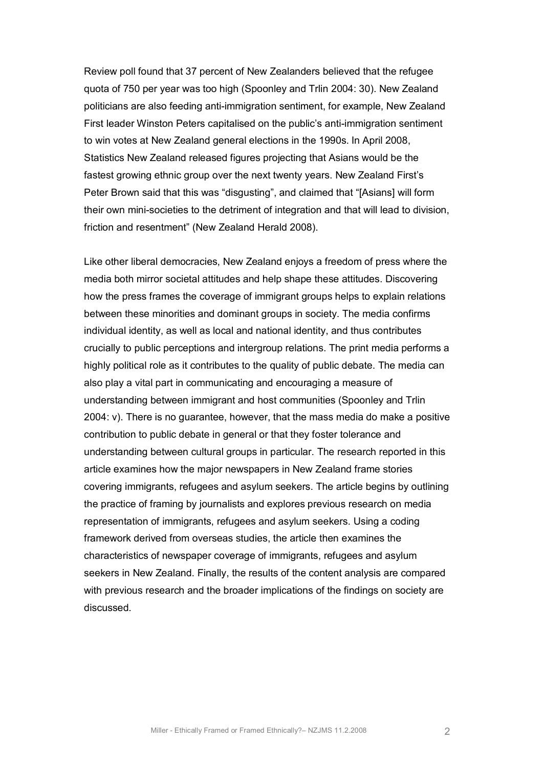Review poll found that 37 percent of New Zealanders believed that the refugee quota of 750 per year was too high (Spoonley and Trlin 2004: 30). New Zealand politicians are also feeding anti-immigration sentiment, for example, New Zealand First leader Winston Peters capitalised on the public's anti-immigration sentiment to win votes at New Zealand general elections in the 1990s. In April 2008, Statistics New Zealand released figures projecting that Asians would be the fastest growing ethnic group over the next twenty years. New Zealand First's Peter Brown said that this was "disgusting", and claimed that "[Asians] will form their own minisocieties to the detriment of integration and that will lead to division, friction and resentment" (New Zealand Herald 2008).

Like other liberal democracies, New Zealand enjoys a freedom of press where the media both mirror societal attitudes and help shape these attitudes. Discovering how the press frames the coverage of immigrant groups helps to explain relations between these minorities and dominant groups in society. The media confirms individual identity, as well as local and national identity, and thus contributes crucially to public perceptions and intergroup relations. The print media performs a highly political role as it contributes to the quality of public debate. The media can also play a vital part in communicating and encouraging a measure of understanding between immigrant and host communities (Spoonley and Trlin 2004: v). There is no guarantee, however, that the mass media do make a positive contribution to public debate in general or that they foster tolerance and understanding between cultural groups in particular. The research reported in this article examines how the major newspapers in New Zealand frame stories covering immigrants, refugees and asylum seekers. The article begins by outlining the practice of framing by journalists and explores previous research on media representation of immigrants, refugees and asylum seekers. Using a coding framework derived from overseas studies, the article then examines the characteristics of newspaper coverage of immigrants, refugees and asylum seekers in New Zealand. Finally, the results of the content analysis are compared with previous research and the broader implications of the findings on society are discussed.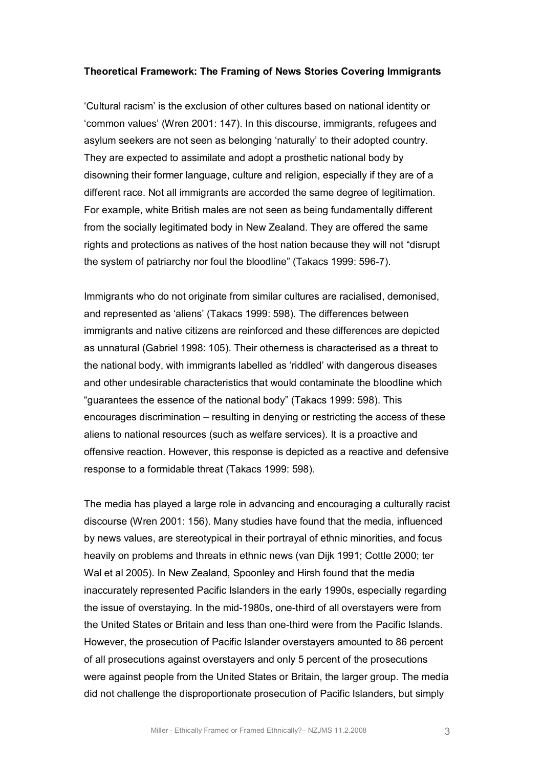#### **Theoretical Framework: The Framing of News Stories Covering Immigrants**

'Cultural racism' is the exclusion of other cultures based on national identity or 'common values' (Wren 2001: 147). In this discourse, immigrants, refugees and asylum seekers are not seen as belonging 'naturally' to their adopted country. They are expected to assimilate and adopt a prosthetic national body by disowning their former language, culture and religion, especially if they are of a different race. Not all immigrants are accorded the same degree of legitimation. For example, white British males are not seen as being fundamentally different from the socially legitimated body in New Zealand. They are offered the same rights and protections as natives of the host nation because they will not "disrupt the system of patriarchy nor foul the bloodline" (Takacs 1999: 5967).

Immigrants who do not originate from similar cultures are racialised, demonised, and represented as 'aliens' (Takacs 1999: 598). The differences between immigrants and native citizens are reinforced and these differences are depicted as unnatural (Gabriel 1998: 105). Their otherness is characterised as a threat to the national body, with immigrants labelled as 'riddled' with dangerous diseases and other undesirable characteristics that would contaminate the bloodline which "guarantees the essence of the national body" (Takacs 1999: 598). This encourages discrimination – resulting in denying or restricting the access of these aliens to national resources (such as welfare services). It is a proactive and offensive reaction. However, this response is depicted as a reactive and defensive response to a formidable threat (Takacs 1999: 598).

The media has played a large role in advancing and encouraging a culturally racist discourse (Wren 2001: 156). Many studies have found that the media, influenced by news values, are stereotypical in their portrayal of ethnic minorities, and focus heavily on problems and threats in ethnic news (van Dijk 1991; Cottle 2000; ter Wal et al 2005). In New Zealand, Spoonley and Hirsh found that the media inaccurately represented Pacific Islanders in the early 1990s, especially regarding the issue of overstaying. In the mid-1980s, one-third of all overstayers were from the United States or Britain and less than one-third were from the Pacific Islands. However, the prosecution of Pacific Islander overstayers amounted to 86 percent of all prosecutions against overstayers and only 5 percent of the prosecutions were against people from the United States or Britain, the larger group. The media did not challenge the disproportionate prosecution of Pacific Islanders, but simply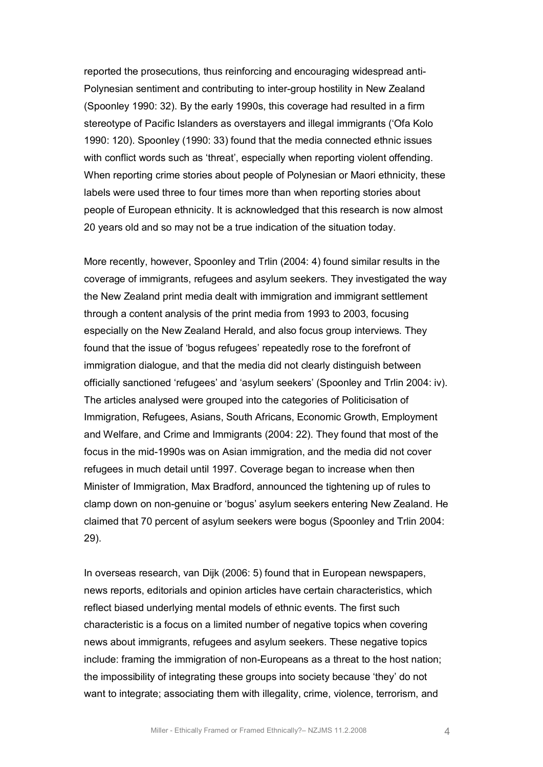reported the prosecutions, thus reinforcing and encouraging widespread anti-Polynesian sentiment and contributing to inter-group hostility in New Zealand (Spoonley 1990: 32). By the early 1990s, this coverage had resulted in a firm stereotype of Pacific Islanders as overstayers and illegal immigrants ('Ofa Kolo 1990: 120). Spoonley (1990: 33) found that the media connected ethnic issues with conflict words such as 'threat', especially when reporting violent offending. When reporting crime stories about people of Polynesian or Maori ethnicity, these labels were used three to four times more than when reporting stories about people of European ethnicity. It is acknowledged that this research is now almost 20 years old and so may not be a true indication of the situation today.

More recently, however, Spoonley and Trlin (2004: 4) found similar results in the coverage of immigrants, refugees and asylum seekers. They investigated the way the New Zealand print media dealt with immigration and immigrant settlement through a content analysis of the print media from 1993 to 2003, focusing especially on the New Zealand Herald, and also focus group interviews. They found that the issue of 'bogus refugees' repeatedly rose to the forefront of immigration dialogue, and that the media did not clearly distinguish between officially sanctioned 'refugees' and 'asylum seekers' (Spoonley and Trlin 2004: iv). The articles analysed were grouped into the categories of Politicisation of Immigration, Refugees, Asians, South Africans, Economic Growth, Employment and Welfare, and Crime and Immigrants (2004: 22). They found that most of the focus in the mid-1990s was on Asian immigration, and the media did not cover refugees in much detail until 1997. Coverage began to increase when then Minister of Immigration, Max Bradford, announced the tightening up of rules to clamp down on nongenuine or 'bogus' asylum seekers entering New Zealand. He claimed that 70 percent of asylum seekers were bogus (Spoonley and Trlin 2004: 29).

In overseas research, van Dijk (2006: 5) found that in European newspapers, news reports, editorials and opinion articles have certain characteristics, which reflect biased underlying mental models of ethnic events. The first such characteristic is a focus on a limited number of negative topics when covering news about immigrants, refugees and asylum seekers. These negative topics include: framing the immigration of non-Europeans as a threat to the host nation; the impossibility of integrating these groups into society because 'they' do not want to integrate; associating them with illegality, crime, violence, terrorism, and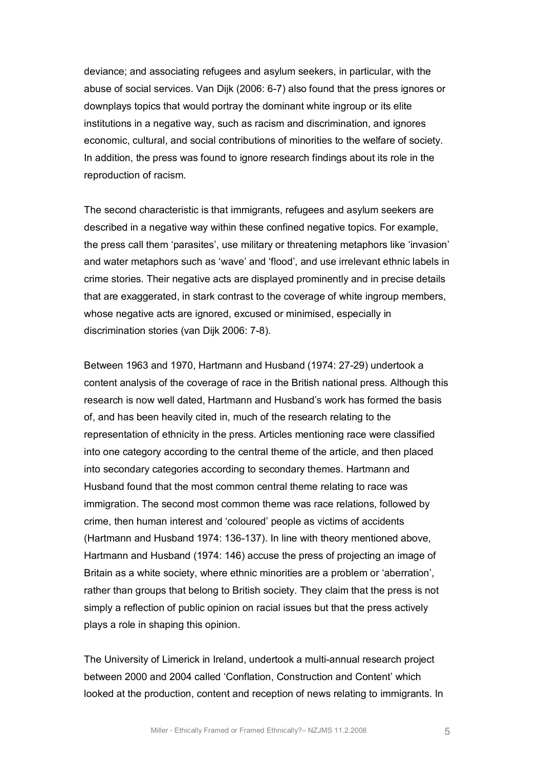deviance; and associating refugees and asylum seekers, in particular, with the abuse of social services. Van Dijk (2006: 67) also found that the press ignores or downplays topics that would portray the dominant white ingroup or its elite institutions in a negative way, such as racism and discrimination, and ignores economic, cultural, and social contributions of minorities to the welfare of society. In addition, the press was found to ignore research findings about its role in the reproduction of racism.

The second characteristic is that immigrants, refugees and asylum seekers are described in a negative way within these confined negative topics. For example, the press call them 'parasites', use military or threatening metaphors like 'invasion' and water metaphors such as 'wave' and 'flood', and use irrelevant ethnic labels in crime stories. Their negative acts are displayed prominently and in precise details that are exaggerated, in stark contrast to the coverage of white ingroup members, whose negative acts are ignored, excused or minimised, especially in discrimination stories (van Dijk 2006: 7-8).

Between 1963 and 1970, Hartmann and Husband (1974: 27-29) undertook a content analysis of the coverage of race in the British national press. Although this research is now well dated, Hartmann and Husband's work has formed the basis of, and has been heavily cited in, much of the research relating to the representation of ethnicity in the press. Articles mentioning race were classified into one category according to the central theme of the article, and then placed into secondary categories according to secondary themes. Hartmann and Husband found that the most common central theme relating to race was immigration. The second most common theme was race relations, followed by crime, then human interest and 'coloured' people as victims of accidents (Hartmann and Husband 1974: 136-137). In line with theory mentioned above, Hartmann and Husband (1974: 146) accuse the press of projecting an image of Britain as a white society, where ethnic minorities are a problem or 'aberration', rather than groups that belong to British society. They claim that the press is not simply a reflection of public opinion on racial issues but that the press actively plays a role in shaping this opinion.

The University of Limerick in Ireland, undertook a multi-annual research project between 2000 and 2004 called 'Conflation, Construction and Content' which looked at the production, content and reception of news relating to immigrants. In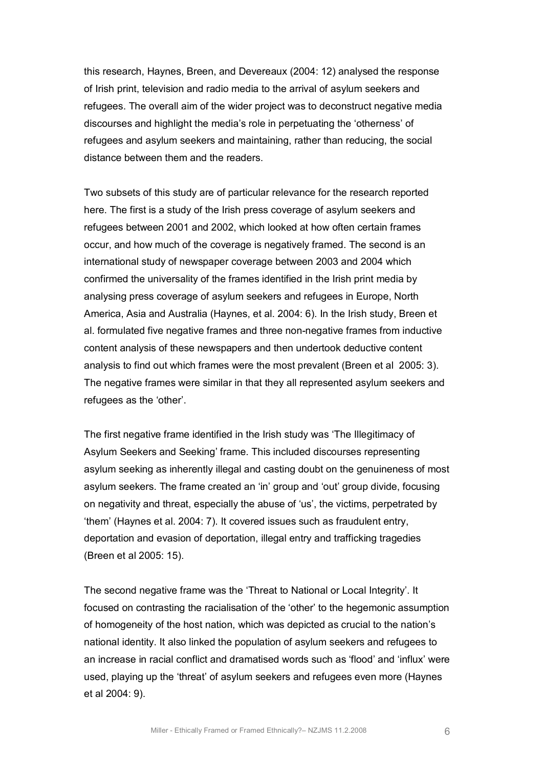this research, Haynes, Breen, and Devereaux (2004: 12) analysed the response of Irish print, television and radio media to the arrival of asylum seekers and refugees. The overall aim of the wider project was to deconstruct negative media discourses and highlight the media's role in perpetuating the 'otherness' of refugees and asylum seekers and maintaining, rather than reducing, the social distance between them and the readers.

Two subsets of this study are of particular relevance for the research reported here. The first is a study of the Irish press coverage of asylum seekers and refugees between 2001 and 2002, which looked at how often certain frames occur, and how much of the coverage is negatively framed. The second is an international study of newspaper coverage between 2003 and 2004 which confirmed the universality of the frames identified in the Irish print media by analysing press coverage of asylum seekers and refugees in Europe, North America, Asia and Australia (Haynes, et al. 2004: 6). In the Irish study, Breen et al. formulated five negative frames and three non-negative frames from inductive content analysis of these newspapers and then undertook deductive content analysis to find out which frames were the most prevalent (Breen et al 2005: 3). The negative frames were similar in that they all represented asylum seekers and refugees as the 'other'.

The first negative frame identified in the Irish study was 'The Illegitimacy of Asylum Seekers and Seeking' frame. This included discourses representing asylum seeking as inherently illegal and casting doubt on the genuineness of most asylum seekers. The frame created an 'in' group and 'out' group divide, focusing on negativity and threat, especially the abuse of 'us', the victims, perpetrated by 'them' (Haynes et al. 2004: 7). It covered issues such as fraudulent entry, deportation and evasion of deportation, illegal entry and trafficking tragedies (Breen et al 2005: 15).

The second negative frame was the 'Threat to National or Local Integrity'. It focused on contrasting the racialisation of the 'other' to the hegemonic assumption of homogeneity of the host nation, which was depicted as crucial to the nation's national identity. It also linked the population of asylum seekers and refugees to an increase in racial conflict and dramatised words such as 'flood' and 'influx' were used, playing up the 'threat' of asylum seekers and refugees even more (Haynes et al 2004: 9).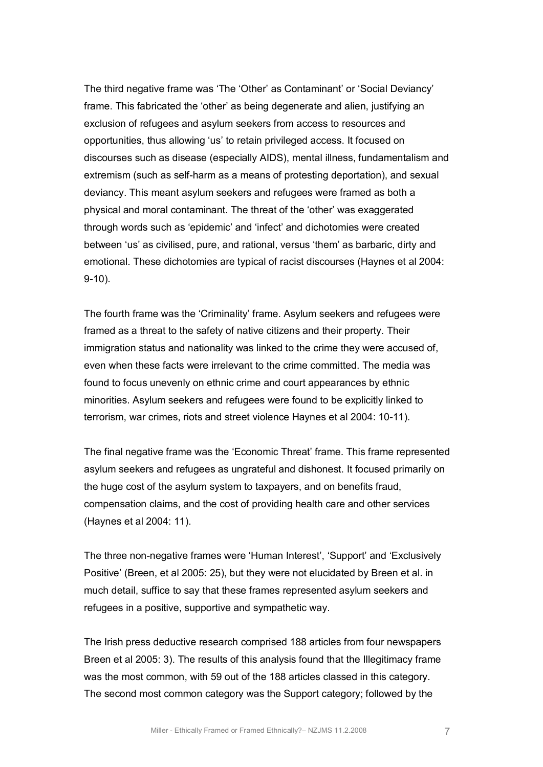The third negative frame was 'The 'Other' as Contaminant' or 'Social Deviancy' frame. This fabricated the 'other' as being degenerate and alien, justifying an exclusion of refugees and asylum seekers from access to resources and opportunities, thus allowing 'us' to retain privileged access. It focused on discourses such as disease (especially AIDS), mental illness, fundamentalism and extremism (such as self-harm as a means of protesting deportation), and sexual deviancy. This meant asylum seekers and refugees were framed as both a physical and moral contaminant. The threat of the 'other' was exaggerated through words such as 'epidemic' and 'infect' and dichotomies were created between 'us' as civilised, pure, and rational, versus 'them' as barbaric, dirty and emotional. These dichotomies are typical of racist discourses (Haynes et al 2004:  $9-10$ ).

The fourth frame was the 'Criminality' frame. Asylum seekers and refugees were framed as a threat to the safety of native citizens and their property. Their immigration status and nationality was linked to the crime they were accused of, even when these facts were irrelevant to the crime committed. The media was found to focus unevenly on ethnic crime and court appearances by ethnic minorities. Asylum seekers and refugees were found to be explicitly linked to terrorism, war crimes, riots and street violence Haynes et al 2004: 10-11).

The final negative frame was the 'Economic Threat' frame. This frame represented asylum seekers and refugees as ungrateful and dishonest. It focused primarily on the huge cost of the asylum system to taxpayers, and on benefits fraud, compensation claims, and the cost of providing health care and other services (Haynes et al 2004: 11).

The three non-negative frames were 'Human Interest', 'Support' and 'Exclusively Positive' (Breen, et al 2005: 25), but they were not elucidated by Breen et al. in much detail, suffice to say that these frames represented asylum seekers and refugees in a positive, supportive and sympathetic way.

The Irish press deductive research comprised 188 articles from four newspapers Breen et al 2005: 3). The results of this analysis found that the Illegitimacy frame was the most common, with 59 out of the 188 articles classed in this category. The second most common category was the Support category; followed by the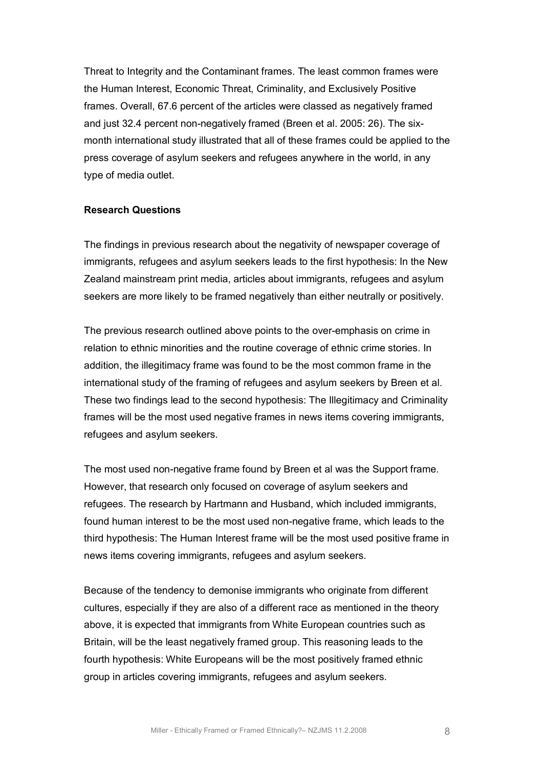Threat to Integrity and the Contaminant frames. The least common frames were the Human Interest, Economic Threat, Criminality, and Exclusively Positive frames. Overall, 67.6 percent of the articles were classed as negatively framed and just 32.4 percent non-negatively framed (Breen et al. 2005: 26). The sixmonth international study illustrated that all of these frames could be applied to the press coverage of asylum seekers and refugees anywhere in the world, in any type of media outlet.

#### **Research Questions**

The findings in previous research about the negativity of newspaper coverage of immigrants, refugees and asylum seekers leads to the first hypothesis: In the New Zealand mainstream print media, articles about immigrants, refugees and asylum seekers are more likely to be framed negatively than either neutrally or positively.

The previous research outlined above points to the over-emphasis on crime in relation to ethnic minorities and the routine coverage of ethnic crime stories. In addition, the illegitimacy frame was found to be the most common frame in the international study of the framing of refugees and asylum seekers by Breen et al. These two findings lead to the second hypothesis: The Illegitimacy and Criminality frames will be the most used negative frames in news items covering immigrants, refugees and asylum seekers.

The most used non-negative frame found by Breen et al was the Support frame. However, that research only focused on coverage of asylum seekers and refugees. The research by Hartmann and Husband, which included immigrants, found human interest to be the most used non-negative frame, which leads to the third hypothesis: The Human Interest frame will be the most used positive frame in news items covering immigrants, refugees and asylum seekers.

Because of the tendency to demonise immigrants who originate from different cultures, especially if they are also of a different race as mentioned in the theory above, it is expected that immigrants from White European countries such as Britain, will be the least negatively framed group. This reasoning leads to the fourth hypothesis: White Europeans will be the most positively framed ethnic group in articles covering immigrants, refugees and asylum seekers.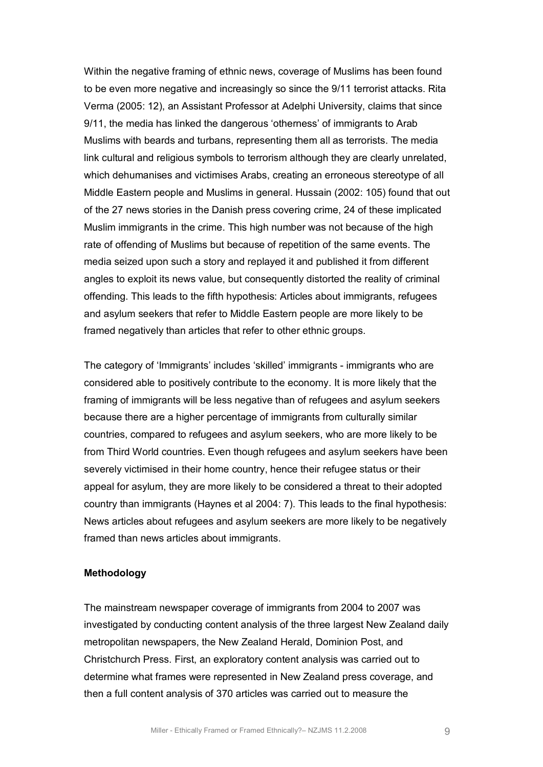Within the negative framing of ethnic news, coverage of Muslims has been found to be even more negative and increasingly so since the 9/11 terrorist attacks. Rita Verma (2005: 12), an Assistant Professor at Adelphi University, claims that since 9/11, the media has linked the dangerous 'otherness' of immigrants to Arab Muslims with beards and turbans, representing them all as terrorists. The media link cultural and religious symbols to terrorism although they are clearly unrelated, which dehumanises and victimises Arabs, creating an erroneous stereotype of all Middle Eastern people and Muslims in general. Hussain (2002: 105) found that out of the 27 news stories in the Danish press covering crime, 24 of these implicated Muslim immigrants in the crime. This high number was not because of the high rate of offending of Muslims but because of repetition of the same events. The media seized upon such a story and replayed it and published it from different angles to exploit its news value, but consequently distorted the reality of criminal offending. This leads to the fifth hypothesis: Articles about immigrants, refugees and asylum seekers that refer to Middle Eastern people are more likely to be framed negatively than articles that refer to other ethnic groups.

The category of 'Immigrants' includes 'skilled' immigrants immigrants who are considered able to positively contribute to the economy. It is more likely that the framing of immigrants will be less negative than of refugees and asylum seekers because there are a higher percentage of immigrants from culturally similar countries, compared to refugees and asylum seekers, who are more likely to be from Third World countries. Even though refugees and asylum seekers have been severely victimised in their home country, hence their refugee status or their appeal for asylum, they are more likely to be considered a threat to their adopted country than immigrants (Haynes et al 2004: 7). This leads to the final hypothesis: News articles about refugees and asylum seekers are more likely to be negatively framed than news articles about immigrants.

## **Methodology**

The mainstream newspaper coverage of immigrants from 2004 to 2007 was investigated by conducting content analysis of the three largest New Zealand daily metropolitan newspapers, the New Zealand Herald, Dominion Post, and Christchurch Press. First, an exploratory content analysis was carried out to determine what frames were represented in New Zealand press coverage, and then a full content analysis of 370 articles was carried out to measure the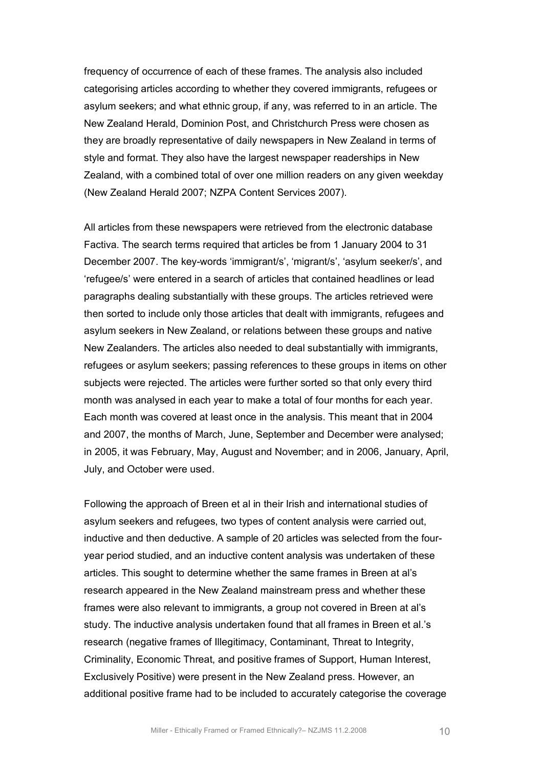frequency of occurrence of each of these frames. The analysis also included categorising articles according to whether they covered immigrants, refugees or asylum seekers; and what ethnic group, if any, was referred to in an article. The New Zealand Herald, Dominion Post, and Christchurch Press were chosen as they are broadly representative of daily newspapers in New Zealand in terms of style and format. They also have the largest newspaper readerships in New Zealand, with a combined total of over one million readers on any given weekday (New Zealand Herald 2007; NZPA Content Services 2007).

All articles from these newspapers were retrieved from the electronic database Factiva. The search terms required that articles be from 1 January 2004 to 31 December 2007. The key-words 'immigrant/s', 'migrant/s', 'asylum seeker/s', and 'refugee/s' were entered in a search of articles that contained headlines or lead paragraphs dealing substantially with these groups. The articles retrieved were then sorted to include only those articles that dealt with immigrants, refugees and asylum seekers in New Zealand, or relations between these groups and native New Zealanders. The articles also needed to deal substantially with immigrants, refugees or asylum seekers; passing references to these groups in items on other subjects were rejected. The articles were further sorted so that only every third month was analysed in each year to make a total of four months for each year. Each month was covered at least once in the analysis. This meant that in 2004 and 2007, the months of March, June, September and December were analysed; in 2005, it was February, May, August and November; and in 2006, January, April, July, and October were used.

Following the approach of Breen et al in their Irish and international studies of asylum seekers and refugees, two types of content analysis were carried out, inductive and then deductive. A sample of 20 articles was selected from the fouryear period studied, and an inductive content analysis was undertaken of these articles. This sought to determine whether the same frames in Breen at al's research appeared in the New Zealand mainstream press and whether these frames were also relevant to immigrants, a group not covered in Breen at al's study. The inductive analysis undertaken found that all frames in Breen et al.'s research (negative frames of Illegitimacy, Contaminant, Threat to Integrity, Criminality, Economic Threat, and positive frames of Support, Human Interest, Exclusively Positive) were present in the New Zealand press. However, an additional positive frame had to be included to accurately categorise the coverage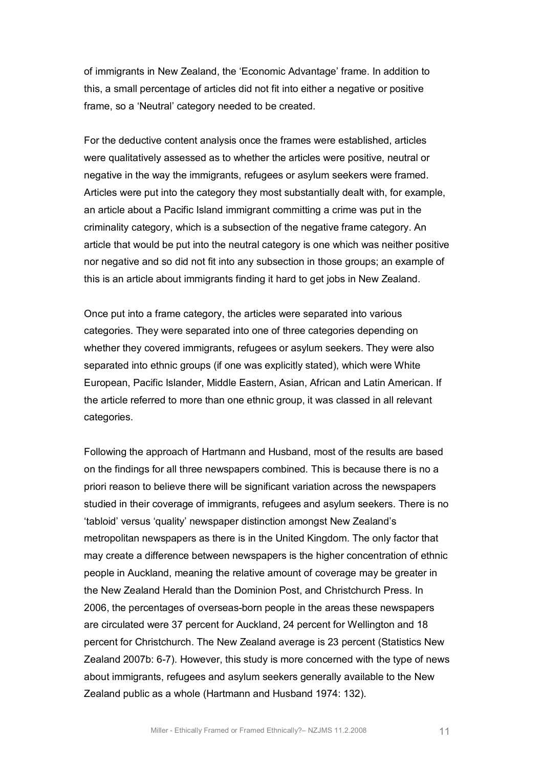of immigrants in New Zealand, the 'Economic Advantage' frame. In addition to this, a small percentage of articles did not fit into either a negative or positive frame, so a 'Neutral' category needed to be created.

For the deductive content analysis once the frames were established, articles were qualitatively assessed as to whether the articles were positive, neutral or negative in the way the immigrants, refugees or asylum seekers were framed. Articles were put into the category they most substantially dealt with, for example, an article about a Pacific Island immigrant committing a crime was put in the criminality category, which is a subsection of the negative frame category. An article that would be put into the neutral category is one which was neither positive nor negative and so did not fit into any subsection in those groups; an example of this is an article about immigrants finding it hard to get jobs in New Zealand.

Once put into a frame category, the articles were separated into various categories. They were separated into one of three categories depending on whether they covered immigrants, refugees or asylum seekers. They were also separated into ethnic groups (if one was explicitly stated), which were White European, Pacific Islander, Middle Eastern, Asian, African and Latin American. If the article referred to more than one ethnic group, it was classed in all relevant categories.

Following the approach of Hartmann and Husband, most of the results are based on the findings for all three newspapers combined. This is because there is no a priori reason to believe there will be significant variation across the newspapers studied in their coverage of immigrants, refugees and asylum seekers. There is no 'tabloid' versus 'quality' newspaper distinction amongst New Zealand's metropolitan newspapers as there is in the United Kingdom. The only factor that may create a difference between newspapers is the higher concentration of ethnic people in Auckland, meaning the relative amount of coverage may be greater in the New Zealand Herald than the Dominion Post, and Christchurch Press. In 2006, the percentages of overseas-born people in the areas these newspapers are circulated were 37 percent for Auckland, 24 percent for Wellington and 18 percent for Christchurch. The New Zealand average is 23 percent (Statistics New Zealand 2007b: 6-7). However, this study is more concerned with the type of news about immigrants, refugees and asylum seekers generally available to the New Zealand public as a whole (Hartmann and Husband 1974: 132).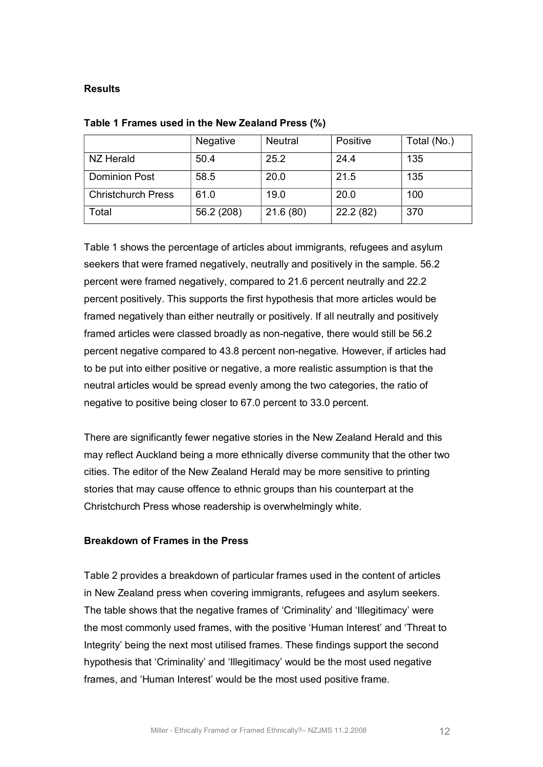## **Results**

|                           | <b>Negative</b> | <b>Neutral</b> | Positive | Total (No.) |
|---------------------------|-----------------|----------------|----------|-------------|
| NZ Herald                 | 50.4            | 25.2           | 24.4     | 135         |
| <b>Dominion Post</b>      | 58.5            | 20.0           | 21.5     | 135         |
| <b>Christchurch Press</b> | 61.0            | 19.0           | 20.0     | 100         |
| Total                     | 56.2 (208)      | 21.6(80)       | 22.2(82) | 370         |

#### **Table 1 Frames used in the New Zealand Press (%)**

Table 1 shows the percentage of articles about immigrants, refugees and asylum seekers that were framed negatively, neutrally and positively in the sample. 56.2 percent were framed negatively, compared to 21.6 percent neutrally and 22.2 percent positively. This supports the first hypothesis that more articles would be framed negatively than either neutrally or positively. If all neutrally and positively framed articles were classed broadly as non-negative, there would still be 56.2 percent negative compared to 43.8 percent non-negative. However, if articles had to be put into either positive or negative, a more realistic assumption is that the neutral articles would be spread evenly among the two categories, the ratio of negative to positive being closer to 67.0 percent to 33.0 percent.

There are significantly fewer negative stories in the New Zealand Herald and this may reflect Auckland being a more ethnically diverse community that the other two cities. The editor of the New Zealand Herald may be more sensitive to printing stories that may cause offence to ethnic groups than his counterpart at the Christchurch Press whose readership is overwhelmingly white.

#### **Breakdown of Frames in the Press**

Table 2 provides a breakdown of particular frames used in the content of articles in New Zealand press when covering immigrants, refugees and asylum seekers. The table shows that the negative frames of 'Criminality' and 'Illegitimacy' were the most commonly used frames, with the positive 'Human Interest' and 'Threat to Integrity' being the next most utilised frames. These findings support the second hypothesis that 'Criminality' and 'Illegitimacy' would be the most used negative frames, and 'Human Interest' would be the most used positive frame.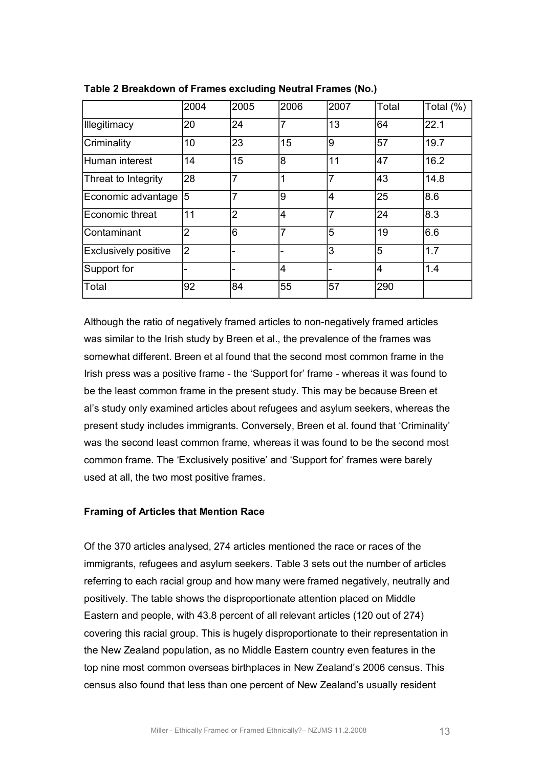|                             | 2004           | 2005           | 2006           | 2007           | Total          | Total (%) |
|-----------------------------|----------------|----------------|----------------|----------------|----------------|-----------|
| <b>Illegitimacy</b>         | 20             | 24             | $\overline{7}$ | 13             | 64             | 22.1      |
| Criminality                 | 10             | 23             | 15             | 9              | 57             | 19.7      |
| Human interest              | 14             | 15             | 8              | 11             | 47             | 16.2      |
| Threat to Integrity         | 28             | $\overline{7}$ | 1              | 7              | 43             | 14.8      |
| Economic advantage          | 5              | $\overline{7}$ | 9              | $\overline{4}$ | 25             | 8.6       |
| Economic threat             | 11             | $\overline{2}$ | $\overline{4}$ | 7              | 24             | 8.3       |
| Contaminant                 | $\overline{2}$ | 6              | $\overline{7}$ | 5              | 19             | 6.6       |
| <b>Exclusively positive</b> | $\overline{2}$ |                |                | 3              | 5              | 1.7       |
| Support for                 |                |                | $\overline{4}$ |                | $\overline{4}$ | 1.4       |
| Total                       | 92             | 84             | 55             | 57             | 290            |           |

Although the ratio of negatively framed articles to non-negatively framed articles was similar to the Irish study by Breen et al., the prevalence of the frames was somewhat different. Breen et al found that the second most common frame in the Irish press was a positive frame - the 'Support for' frame - whereas it was found to be the least common frame in the present study. This may be because Breen et al's study only examined articles about refugees and asylum seekers, whereas the present study includes immigrants. Conversely, Breen et al. found that 'Criminality' was the second least common frame, whereas it was found to be the second most common frame. The 'Exclusively positive' and 'Support for' frames were barely used at all, the two most positive frames.

#### **Framing of Articles that Mention Race**

Of the 370 articles analysed, 274 articles mentioned the race or races of the immigrants, refugees and asylum seekers. Table 3 sets out the number of articles referring to each racial group and how many were framed negatively, neutrally and positively. The table shows the disproportionate attention placed on Middle Eastern and people, with 43.8 percent of all relevant articles (120 out of 274) covering this racial group. This is hugely disproportionate to their representation in the New Zealand population, as no Middle Eastern country even features in the top nine most common overseas birthplaces in New Zealand's 2006 census. This census also found that less than one percent of New Zealand's usually resident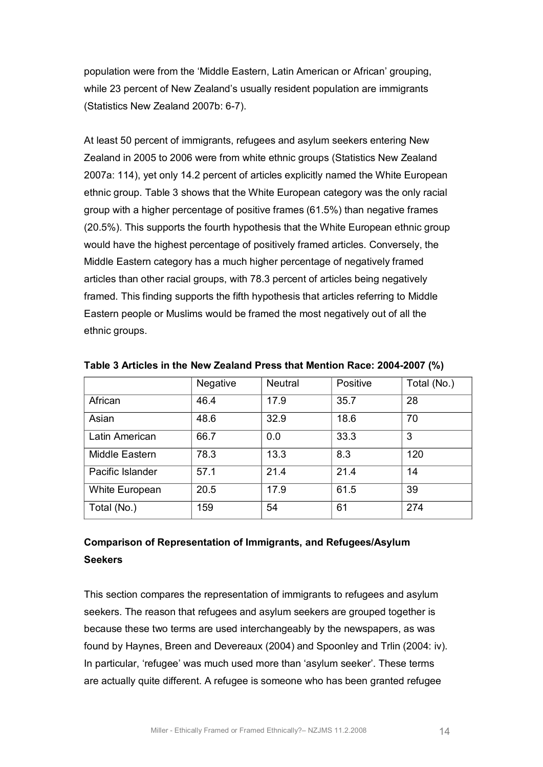population were from the 'Middle Eastern, Latin American or African' grouping, while 23 percent of New Zealand's usually resident population are immigrants (Statistics New Zealand 2007b: 6-7).

At least 50 percent of immigrants, refugees and asylum seekers entering New Zealand in 2005 to 2006 were from white ethnic groups (Statistics New Zealand 2007a: 114), yet only 14.2 percent of articles explicitly named the White European ethnic group. Table 3 shows that the White European category was the only racial group with a higher percentage of positive frames (61.5%) than negative frames (20.5%). This supports the fourth hypothesis that the White European ethnic group would have the highest percentage of positively framed articles. Conversely, the Middle Eastern category has a much higher percentage of negatively framed articles than other racial groups, with 78.3 percent of articles being negatively framed. This finding supports the fifth hypothesis that articles referring to Middle Eastern people or Muslims would be framed the most negatively out of all the ethnic groups.

|                  | <b>Negative</b> | <b>Neutral</b> | Positive | Total (No.) |
|------------------|-----------------|----------------|----------|-------------|
| African          | 46.4            | 17.9           | 35.7     | 28          |
| Asian            | 48.6            | 32.9           | 18.6     | 70          |
| Latin American   | 66.7            | 0.0            | 33.3     | 3           |
| Middle Eastern   | 78.3            | 13.3           | 8.3      | 120         |
| Pacific Islander | 57.1            | 21.4           | 21.4     | 14          |
| White European   | 20.5            | 17.9           | 61.5     | 39          |
| Total (No.)      | 159             | 54             | 61       | 274         |

**Table 3 Articles in the New Zealand Press that Mention Race: 2004-2007 (%)** 

# **Comparison of Representation of Immigrants, and Refugees/Asylum Seekers**

This section compares the representation of immigrants to refugees and asylum seekers. The reason that refugees and asylum seekers are grouped together is because these two terms are used interchangeably by the newspapers, as was found by Haynes, Breen and Devereaux (2004) and Spoonley and Trlin (2004: iv). In particular, 'refugee' was much used more than 'asylum seeker'. These terms are actually quite different. A refugee is someone who has been granted refugee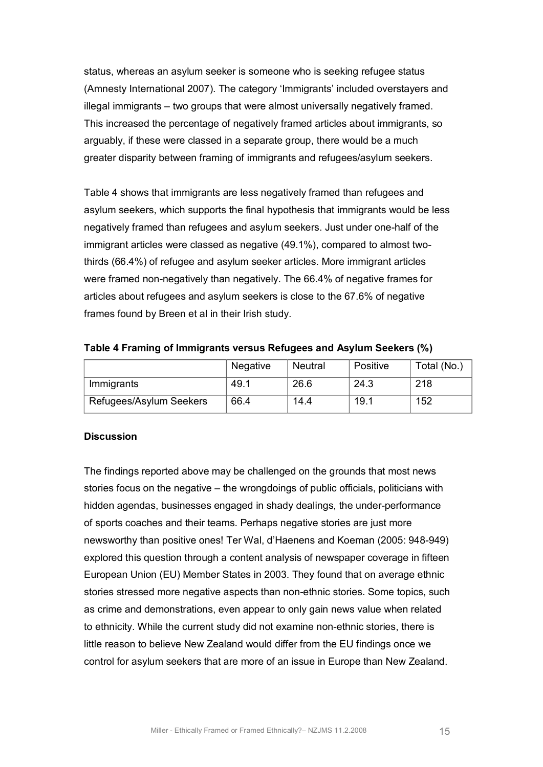status, whereas an asylum seeker is someone who is seeking refugee status (Amnesty International 2007). The category 'Immigrants' included overstayers and illegal immigrants – two groups that were almost universally negatively framed. This increased the percentage of negatively framed articles about immigrants, so arguably, if these were classed in a separate group, there would be a much greater disparity between framing of immigrants and refugees/asylum seekers.

Table 4 shows that immigrants are less negatively framed than refugees and asylum seekers, which supports the final hypothesis that immigrants would be less negatively framed than refugees and asylum seekers. Just under one-half of the immigrant articles were classed as negative (49.1%), compared to almost twothirds (66.4%) of refugee and asylum seeker articles. More immigrant articles were framed non-negatively than negatively. The 66.4% of negative frames for articles about refugees and asylum seekers is close to the 67.6% of negative frames found by Breen et al in their Irish study.

**Table 4 Framing of Immigrants versus Refugees and Asylum Seekers (%)**

|                         | Negative | Neutral | Positive | Total (No.) |
|-------------------------|----------|---------|----------|-------------|
| Immigrants              | 49.1     | 26.6    | 24.3     | 218         |
| Refugees/Asylum Seekers | 66.4     | 14.4    | 19.1     | 152         |

# **Discussion**

The findings reported above may be challenged on the grounds that most news stories focus on the negative – the wrongdoings of public officials, politicians with hidden agendas, businesses engaged in shady dealings, the under-performance of sports coaches and their teams. Perhaps negative stories are just more newsworthy than positive ones! Ter Wal, d'Haenens and Koeman (2005: 948-949) explored this question through a content analysis of newspaper coverage in fifteen European Union (EU) Member States in 2003. They found that on average ethnic stories stressed more negative aspects than non-ethnic stories. Some topics, such as crime and demonstrations, even appear to only gain news value when related to ethnicity. While the current study did not examine non-ethnic stories, there is little reason to believe New Zealand would differ from the EU findings once we control for asylum seekers that are more of an issue in Europe than New Zealand.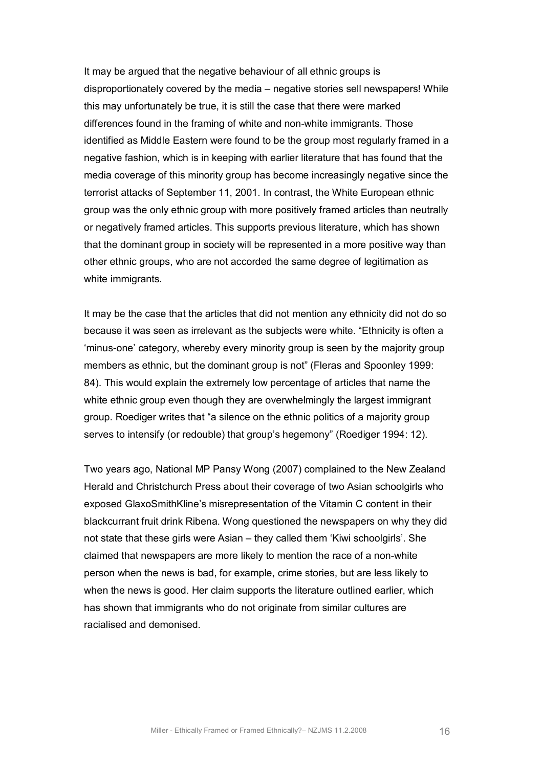It may be argued that the negative behaviour of all ethnic groups is disproportionately covered by the media – negative stories sell newspapers! While this may unfortunately be true, it is still the case that there were marked differences found in the framing of white and non-white immigrants. Those identified as Middle Eastern were found to be the group most regularly framed in a negative fashion, which is in keeping with earlier literature that has found that the media coverage of this minority group has become increasingly negative since the terrorist attacks of September 11, 2001. In contrast, the White European ethnic group was the only ethnic group with more positively framed articles than neutrally or negatively framed articles. This supports previous literature, which has shown that the dominant group in society will be represented in a more positive way than other ethnic groups, who are not accorded the same degree of legitimation as white immigrants.

It may be the case that the articles that did not mention any ethnicity did not do so because it was seen as irrelevant as the subjects were white. "Ethnicity is often a 'minus-one' category, whereby every minority group is seen by the majority group members as ethnic, but the dominant group is not" (Fleras and Spoonley 1999: 84). This would explain the extremely low percentage of articles that name the white ethnic group even though they are overwhelmingly the largest immigrant group. Roediger writes that "a silence on the ethnic politics of a majority group serves to intensify (or redouble) that group's hegemony" (Roediger 1994: 12).

Two years ago, National MP Pansy Wong (2007) complained to the New Zealand Herald and Christchurch Press about their coverage of two Asian schoolgirls who exposed GlaxoSmithKline's misrepresentation of the Vitamin C content in their blackcurrant fruit drink Ribena. Wong questioned the newspapers on why they did not state that these girls were Asian – they called them 'Kiwi schoolgirls'. She claimed that newspapers are more likely to mention the race of a non-white person when the news is bad, for example, crime stories, but are less likely to when the news is good. Her claim supports the literature outlined earlier, which has shown that immigrants who do not originate from similar cultures are racialised and demonised.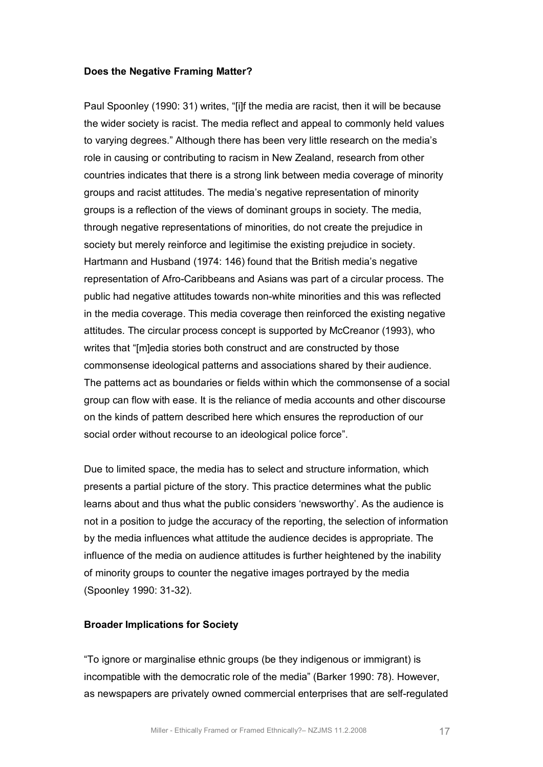#### **Does the Negative Framing Matter?**

Paul Spoonley (1990: 31) writes, "[i]f the media are racist, then it will be because the wider society is racist. The media reflect and appeal to commonly held values to varying degrees." Although there has been very little research on the media's role in causing or contributing to racism in New Zealand, research from other countries indicates that there is a strong link between media coverage of minority groups and racist attitudes. The media's negative representation of minority groups is a reflection of the views of dominant groups in society. The media, through negative representations of minorities, do not create the prejudice in society but merely reinforce and legitimise the existing prejudice in society. Hartmann and Husband (1974: 146) found that the British media's negative representation of Afro-Caribbeans and Asians was part of a circular process. The public had negative attitudes towards nonwhite minorities and this was reflected in the media coverage. This media coverage then reinforced the existing negative attitudes. The circular process concept is supported by McCreanor (1993), who writes that "[m]edia stories both construct and are constructed by those commonsense ideological patterns and associations shared by their audience. The patterns act as boundaries or fields within which the commonsense of a social group can flow with ease. It is the reliance of media accounts and other discourse on the kinds of pattern described here which ensures the reproduction of our social order without recourse to an ideological police force".

Due to limited space, the media has to select and structure information, which presents a partial picture of the story. This practice determines what the public learns about and thus what the public considers 'newsworthy'. As the audience is not in a position to judge the accuracy of the reporting, the selection of information by the media influences what attitude the audience decides is appropriate. The influence of the media on audience attitudes is further heightened by the inability of minority groups to counter the negative images portrayed by the media (Spoonley 1990: 31-32).

#### **Broader Implications for Society**

"To ignore or marginalise ethnic groups (be they indigenous or immigrant) is incompatible with the democratic role of the media" (Barker 1990: 78). However, as newspapers are privately owned commercial enterprises that are self-regulated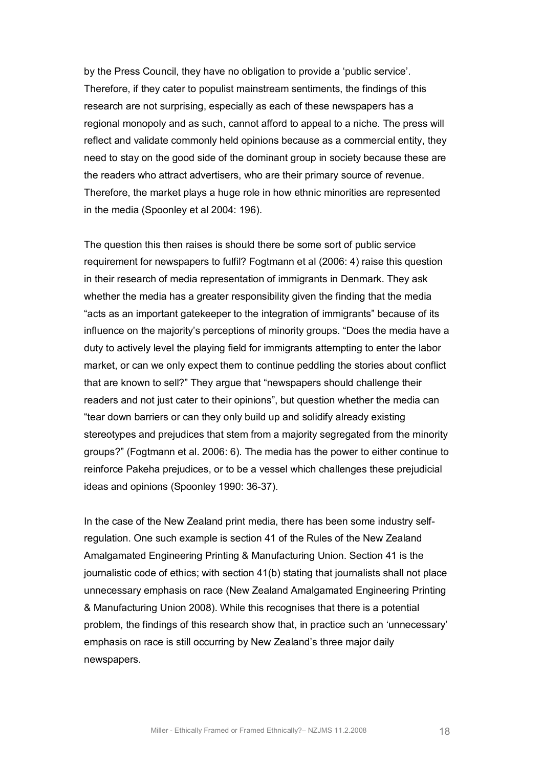by the Press Council, they have no obligation to provide a 'public service'. Therefore, if they cater to populist mainstream sentiments, the findings of this research are not surprising, especially as each of these newspapers has a regional monopoly and as such, cannot afford to appeal to a niche. The press will reflect and validate commonly held opinions because as a commercial entity, they need to stay on the good side of the dominant group in society because these are the readers who attract advertisers, who are their primary source of revenue. Therefore, the market plays a huge role in how ethnic minorities are represented in the media (Spoonley et al 2004: 196).

The question this then raises is should there be some sort of public service requirement for newspapers to fulfil? Fogtmann et al (2006: 4) raise this question in their research of media representation of immigrants in Denmark. They ask whether the media has a greater responsibility given the finding that the media "acts as an important gatekeeper to the integration of immigrants" because of its influence on the majority's perceptions of minority groups. "Does the media have a duty to actively level the playing field for immigrants attempting to enter the labor market, or can we only expect them to continue peddling the stories about conflict that are known to sell?" They argue that "newspapers should challenge their readers and not just cater to their opinions", but question whether the media can "tear down barriers or can they only build up and solidify already existing stereotypes and prejudices that stem from a majority segregated from the minority groups?" (Fogtmann et al. 2006: 6). The media has the power to either continue to reinforce Pakeha prejudices, or to be a vessel which challenges these prejudicial ideas and opinions (Spoonley 1990: 36-37).

In the case of the New Zealand print media, there has been some industry selfregulation. One such example is section 41 of the Rules of the New Zealand Amalgamated Engineering Printing & Manufacturing Union. Section 41 is the journalistic code of ethics; with section 41(b) stating that journalists shall not place unnecessary emphasis on race (New Zealand Amalgamated Engineering Printing & Manufacturing Union 2008). While this recognises that there is a potential problem, the findings of this research show that, in practice such an 'unnecessary' emphasis on race is still occurring by New Zealand's three major daily newspapers.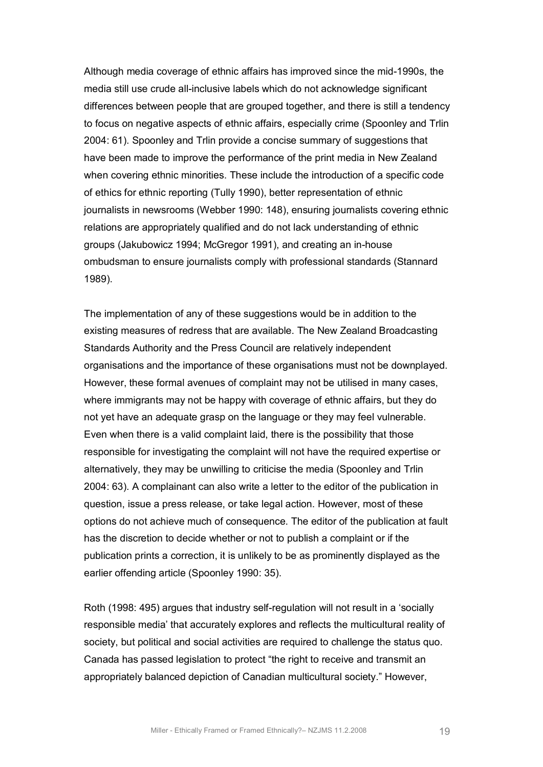Although media coverage of ethnic affairs has improved since the mid-1990s, the media still use crude all-inclusive labels which do not acknowledge significant differences between people that are grouped together, and there is still a tendency to focus on negative aspects of ethnic affairs, especially crime (Spoonley and Trlin 2004: 61). Spoonley and Trlin provide a concise summary of suggestions that have been made to improve the performance of the print media in New Zealand when covering ethnic minorities. These include the introduction of a specific code of ethics for ethnic reporting (Tully 1990), better representation of ethnic journalists in newsrooms (Webber 1990: 148), ensuring journalists covering ethnic relations are appropriately qualified and do not lack understanding of ethnic groups (Jakubowicz 1994; McGregor 1991), and creating an in-house ombudsman to ensure journalists comply with professional standards (Stannard 1989).

The implementation of any of these suggestions would be in addition to the existing measures of redress that are available. The New Zealand Broadcasting Standards Authority and the Press Council are relatively independent organisations and the importance of these organisations must not be downplayed. However, these formal avenues of complaint may not be utilised in many cases, where immigrants may not be happy with coverage of ethnic affairs, but they do not yet have an adequate grasp on the language or they may feel vulnerable. Even when there is a valid complaint laid, there is the possibility that those responsible for investigating the complaint will not have the required expertise or alternatively, they may be unwilling to criticise the media (Spoonley and Trlin 2004: 63). A complainant can also write a letter to the editor of the publication in question, issue a press release, or take legal action. However, most of these options do not achieve much of consequence. The editor of the publication at fault has the discretion to decide whether or not to publish a complaint or if the publication prints a correction, it is unlikely to be as prominently displayed as the earlier offending article (Spoonley 1990: 35).

Roth (1998: 495) argues that industry self-regulation will not result in a 'socially responsible media' that accurately explores and reflects the multicultural reality of society, but political and social activities are required to challenge the status quo. Canada has passed legislation to protect "the right to receive and transmit an appropriately balanced depiction of Canadian multicultural society." However,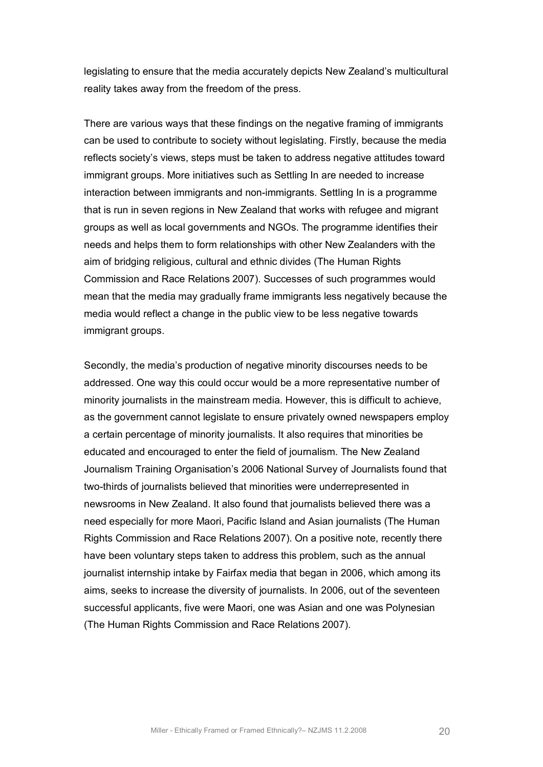legislating to ensure that the media accurately depicts New Zealand's multicultural reality takes away from the freedom of the press.

There are various ways that these findings on the negative framing of immigrants can be used to contribute to society without legislating. Firstly, because the media reflects society's views, steps must be taken to address negative attitudes toward immigrant groups. More initiatives such as Settling In are needed to increase interaction between immigrants and non-immigrants. Settling In is a programme that is run in seven regions in New Zealand that works with refugee and migrant groups as well as local governments and NGOs. The programme identifies their needs and helps them to form relationships with other New Zealanders with the aim of bridging religious, cultural and ethnic divides (The Human Rights Commission and Race Relations 2007). Successes of such programmes would mean that the media may gradually frame immigrants less negatively because the media would reflect a change in the public view to be less negative towards immigrant groups.

Secondly, the media's production of negative minority discourses needs to be addressed. One way this could occur would be a more representative number of minority journalists in the mainstream media. However, this is difficult to achieve, as the government cannot legislate to ensure privately owned newspapers employ a certain percentage of minority journalists. It also requires that minorities be educated and encouraged to enter the field of journalism. The New Zealand Journalism Training Organisation's 2006 National Survey of Journalists found that two-thirds of journalists believed that minorities were underrepresented in newsrooms in New Zealand. It also found that journalists believed there was a need especially for more Maori, Pacific Island and Asian journalists (The Human Rights Commission and Race Relations 2007). On a positive note, recently there have been voluntary steps taken to address this problem, such as the annual journalist internship intake by Fairfax media that began in 2006, which among its aims, seeks to increase the diversity of journalists. In 2006, out of the seventeen successful applicants, five were Maori, one was Asian and one was Polynesian (The Human Rights Commission and Race Relations 2007).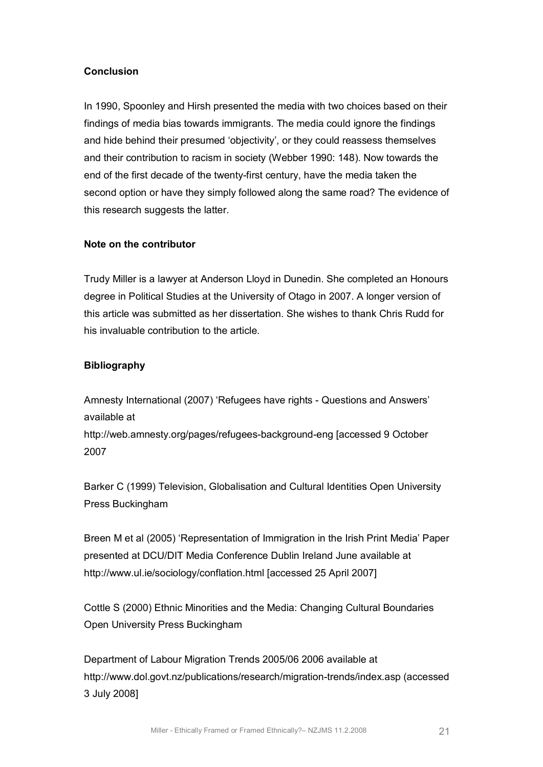# **Conclusion**

In 1990, Spoonley and Hirsh presented the media with two choices based on their findings of media bias towards immigrants. The media could ignore the findings and hide behind their presumed 'objectivity', or they could reassess themselves and their contribution to racism in society (Webber 1990: 148). Now towards the end of the first decade of the twenty-first century, have the media taken the second option or have they simply followed along the same road? The evidence of this research suggests the latter.

# **Note on the contributor**

Trudy Miller is a lawyer at Anderson Lloyd in Dunedin. She completed an Honours degree in Political Studies at the University of Otago in 2007. A longer version of this article was submitted as her dissertation. She wishes to thank Chris Rudd for his invaluable contribution to the article.

# **Bibliography**

Amnesty International (2007) 'Refugees have rights - Questions and Answers' available at

http://web.amnesty.org/pages/refugees-background-eng [accessed 9 October 2007

Barker C (1999) Television, Globalisation and Cultural Identities Open University Press Buckingham

Breen M et al (2005) 'Representation of Immigration in the Irish Print Media' Paper presented at DCU/DIT Media Conference Dublin Ireland June available at <http://www.ul.ie/sociology/conflation.html> [accessed 25 April 2007]

Cottle S (2000) Ethnic Minorities and the Media: Changing Cultural Boundaries Open University Press Buckingham

Department of Labour Migration Trends 2005/06 2006 available at http://www.dol.govt.nz/publications/research/migration-trends/index.asp (accessed 3 July 2008]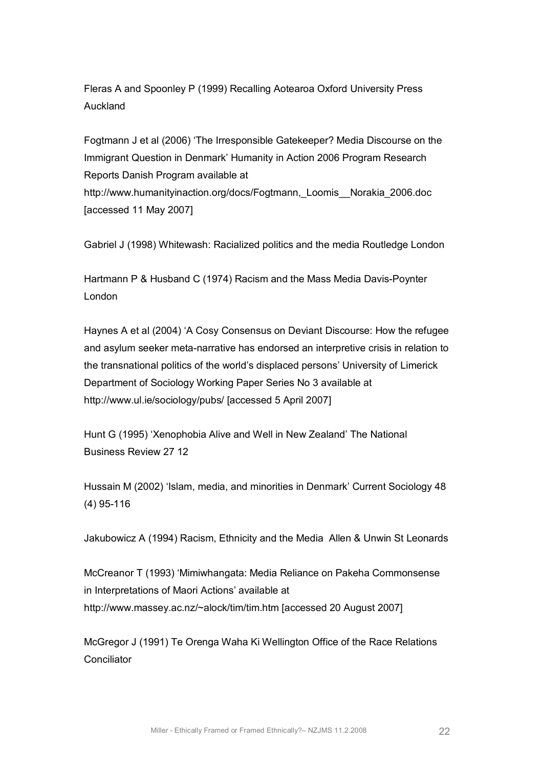Fleras A and Spoonley P (1999) Recalling Aotearoa Oxford University Press Auckland

Fogtmann J et al (2006) 'The Irresponsible Gatekeeper? Media Discourse on the Immigrant Question in Denmark' Humanity in Action 2006 Program Research Reports Danish Program available at [http://www.humanityinaction.org/docs/Fogtmann,\\_Loomis\\_\\_Norakia\\_2006.doc](http://www.humanityinaction.org/docs/Fogtmann,_Loomis__Norakia_2006.doc) [accessed 11 May 2007]

Gabriel J (1998) Whitewash: Racialized politics and the media Routledge London

Hartmann P & Husband C (1974) Racism and the Mass Media Davis-Poynter London

Haynes A et al (2004) 'A Cosy Consensus on Deviant Discourse: How the refugee and asylum seeker meta-narrative has endorsed an interpretive crisis in relation to the transnational politics of the world's displaced persons' University of Limerick Department of Sociology Working Paper Series No 3 available at http://www.ul.ie/sociology/pubs/ [accessed 5 April 2007]

Hunt G (1995) 'Xenophobia Alive and Well in New Zealand' The National Business Review 27 12

Hussain M (2002) 'Islam, media, and minorities in Denmark' Current Sociology 48  $(4)$  95-116

Jakubowicz A (1994) Racism, Ethnicity and the Media Allen & Unwin St Leonards

McCreanor T (1993) 'Mimiwhangata: Media Reliance on Pakeha Commonsense in Interpretations of Maori Actions' available at <http://www.massey.ac.nz/~alock/tim/tim.htm> [accessed 20 August 2007]

McGregor J (1991) Te Orenga Waha Ki Wellington Office of the Race Relations **Conciliator**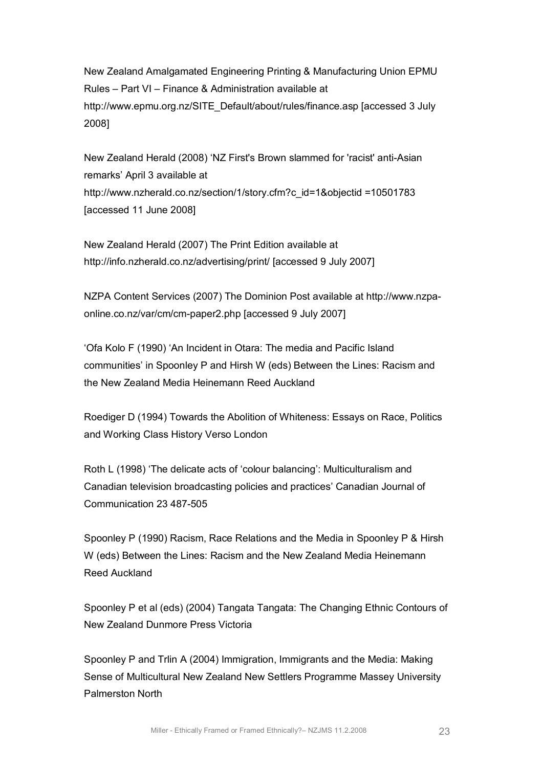New Zealand Amalgamated Engineering Printing & Manufacturing Union EPMU Rules – Part VI – Finance & Administration available at [http://www.epmu.org.nz/SITE\\_Default/about/rules/finance.asp](http://www.epmu.org.nz/SITE_Default/about/rules/finance.asp) [accessed 3 July 2008]

New Zealand Herald (2008) 'NZ First's Brown slammed for 'racist' anti-Asian remarks' April 3 available at [http://www.nzherald.co.nz/section/1/story.cfm?c\\_id=1&objectid =10501783](http://www.nzherald.co.nz/section/1/story.cfm?c_id=1&objectid=10501783) [accessed 11 June 2008]

New Zealand Herald (2007) The Print Edition available at http://info.nzherald.co.nz/advertising/print/ [accessed 9 July 2007]

[NZPA Content Services \(2007\) The Dominion](http://www.nzpa-online.co.nz/var/cm/cm-paper2.php) Post available at http://www.nzpa online.co.nz/var/cm/cm-paper2.php [accessed 9 July 2007]

'Ofa Kolo F (1990) 'An Incident in Otara: The media and Pacific Island communities' in Spoonley P and Hirsh W (eds) Between the Lines: Racism and the New Zealand Media Heinemann Reed Auckland

Roediger D (1994) Towards the Abolition of Whiteness: Essays on Race, Politics and Working Class History Verso London

Roth L (1998) 'The delicate acts of 'colour balancing': Multiculturalism and Canadian television broadcasting policies and practices' Canadian Journal of Communication 23 487-505

Spoonley P (1990) Racism, Race Relations and the Media in Spoonley P & Hirsh W (eds) Between the Lines: Racism and the New Zealand Media Heinemann Reed Auckland

Spoonley P et al (eds) (2004) Tangata Tangata: The Changing Ethnic Contours of New Zealand Dunmore Press Victoria

Spoonley P and Trlin A (2004) Immigration, Immigrants and the Media: Making Sense of Multicultural New Zealand New Settlers Programme Massey University Palmerston North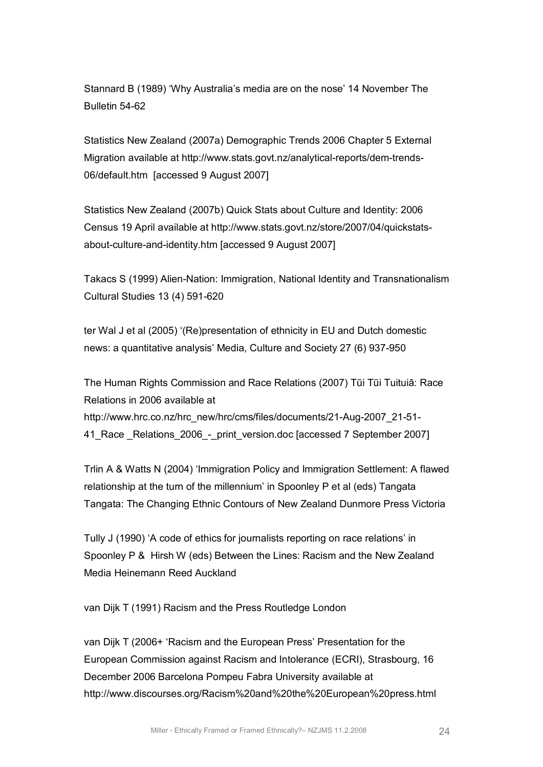Stannard B (1989) 'Why Australia's media are on the nose' 14 November The Bulletin 54-62

Statistics New Zealand (2007a) Demographic Trends 2006 Chapter 5 External Migration available at http://www.stats.govt.nz/analytical-reports/dem-trends-06/default.htm [accessed 9 August 2007]

Statistics New Zealand (2007b) Quick Stats about Culture and Identity: 2006 Census 19 [April available at http://www.stats.govt.nz/store/2007/04/quickstats](http://www.stats.govt.nz/store/2007/04/quickstats-about-culture-and-identity.htm) about-culture-and-identity.htm [accessed 9 August 2007]

Takacs S (1999) Alien-Nation: Immigration, National Identity and Transnationalism Cultural Studies 13 (4) 591-620

ter Wal J et al (2005) '(Re)presentation of ethnicity in EU and Dutch domestic news: a quantitative analysis' Media, Culture and Society 27 (6) 937-950

The Human Rights Commission and Race Relations (2007) Tūi Tūi Tuituiā: Race Relations in 2006 available at http://www.hrc.co.nz/hrc\_new/hrc/cms/files/documents/21-Aug-2007\_21-51-41 Race Relations 2006 - print version.doc [accessed 7 September 2007]

Trlin A & Watts N (2004) 'Immigration Policy and Immigration Settlement: A flawed relationship at the turn of the millennium' in Spoonley P et al (eds) Tangata Tangata: The Changing Ethnic Contours of New Zealand Dunmore Press Victoria

Tully J (1990) 'A code of ethics for journalists reporting on race relations' in Spoonley P & Hirsh W (eds) Between the Lines: Racism and the New Zealand Media Heinemann Reed Auckland

van Dijk T (1991) Racism and the Press Routledge London

van Dijk T (2006+ 'Racism and the European Press' Presentation for the European Commission against Racism and Intolerance (ECRI), Strasbourg, 16 December 2006 Barcelona Pompeu Fabra University available at <http://www.discourses.org/Racism%20and%20the%20European%20press.html>